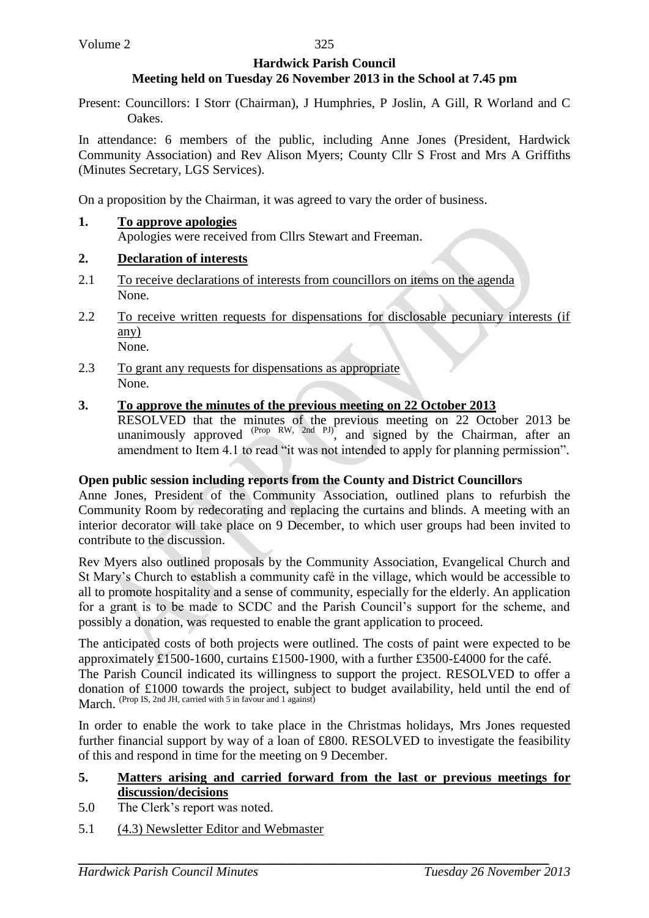#### **Hardwick Parish Council Meeting held on Tuesday 26 November 2013 in the School at 7.45 pm**

Present: Councillors: I Storr (Chairman), J Humphries, P Joslin, A Gill, R Worland and C Oakes.

In attendance: 6 members of the public, including Anne Jones (President, Hardwick Community Association) and Rev Alison Myers; County Cllr S Frost and Mrs A Griffiths (Minutes Secretary, LGS Services).

On a proposition by the Chairman, it was agreed to vary the order of business.

# **1. To approve apologies** Apologies were received from Cllrs Stewart and Freeman.

# **2. Declaration of interests**

- 2.1 To receive declarations of interests from councillors on items on the agenda None.
- 2.2 To receive written requests for dispensations for disclosable pecuniary interests (if any) None.
- 2.3 To grant any requests for dispensations as appropriate None.

# **3. To approve the minutes of the previous meeting on 22 October 2013**

RESOLVED that the minutes of the previous meeting on 22 October 2013 be unanimously approved  $(Prop RW, 2nd Pl)$ , and signed by the Chairman, after an amendment to Item 4.1 to read "it was not intended to apply for planning permission".

### **Open public session including reports from the County and District Councillors**

Anne Jones, President of the Community Association, outlined plans to refurbish the Community Room by redecorating and replacing the curtains and blinds. A meeting with an interior decorator will take place on 9 December, to which user groups had been invited to contribute to the discussion.

Rev Myers also outlined proposals by the Community Association, Evangelical Church and St Mary's Church to establish a community café in the village, which would be accessible to all to promote hospitality and a sense of community, especially for the elderly. An application for a grant is to be made to SCDC and the Parish Council's support for the scheme, and possibly a donation, was requested to enable the grant application to proceed.

The anticipated costs of both projects were outlined. The costs of paint were expected to be approximately £1500-1600, curtains £1500-1900, with a further £3500-£4000 for the café.

The Parish Council indicated its willingness to support the project. RESOLVED to offer a donation of £1000 towards the project, subject to budget availability, held until the end of March. (Prop IS, 2nd JH, carried with 5 in favour and 1 against)

In order to enable the work to take place in the Christmas holidays, Mrs Jones requested further financial support by way of a loan of £800. RESOLVED to investigate the feasibility of this and respond in time for the meeting on 9 December.

### **5. Matters arising and carried forward from the last or previous meetings for discussion/decisions**

- 5.0 The Clerk's report was noted.
- 5.1 (4.3) Newsletter Editor and Webmaster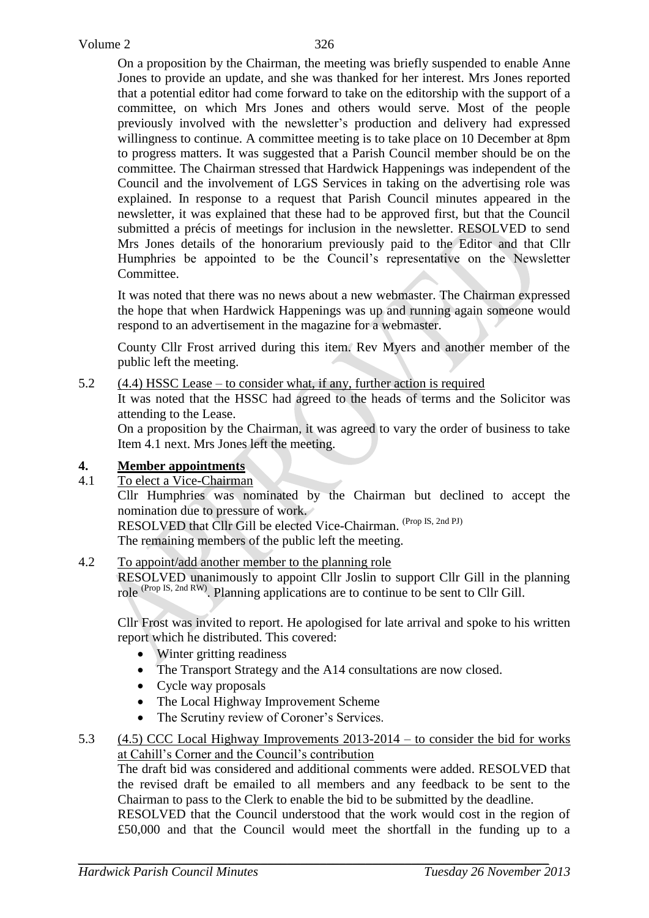On a proposition by the Chairman, the meeting was briefly suspended to enable Anne Jones to provide an update, and she was thanked for her interest. Mrs Jones reported that a potential editor had come forward to take on the editorship with the support of a committee, on which Mrs Jones and others would serve. Most of the people previously involved with the newsletter's production and delivery had expressed willingness to continue. A committee meeting is to take place on 10 December at 8pm to progress matters. It was suggested that a Parish Council member should be on the committee. The Chairman stressed that Hardwick Happenings was independent of the Council and the involvement of LGS Services in taking on the advertising role was explained. In response to a request that Parish Council minutes appeared in the newsletter, it was explained that these had to be approved first, but that the Council submitted a précis of meetings for inclusion in the newsletter. RESOLVED to send Mrs Jones details of the honorarium previously paid to the Editor and that Cllr Humphries be appointed to be the Council's representative on the Newsletter Committee.

It was noted that there was no news about a new webmaster. The Chairman expressed the hope that when Hardwick Happenings was up and running again someone would respond to an advertisement in the magazine for a webmaster.

County Cllr Frost arrived during this item. Rev Myers and another member of the public left the meeting.

# 5.2 (4.4) HSSC Lease – to consider what, if any, further action is required

It was noted that the HSSC had agreed to the heads of terms and the Solicitor was attending to the Lease.

On a proposition by the Chairman, it was agreed to vary the order of business to take Item 4.1 next. Mrs Jones left the meeting.

# **4. Member appointments**

4.1 To elect a Vice-Chairman

Cllr Humphries was nominated by the Chairman but declined to accept the nomination due to pressure of work.

RESOLVED that Cllr Gill be elected Vice-Chairman. (Prop IS, 2nd PJ)

The remaining members of the public left the meeting.

# 4.2 To appoint/add another member to the planning role

RESOLVED unanimously to appoint Cllr Joslin to support Cllr Gill in the planning role (Prop IS, 2nd RW). Planning applications are to continue to be sent to Cllr Gill.

Cllr Frost was invited to report. He apologised for late arrival and spoke to his written report which he distributed. This covered:

- Winter gritting readiness
- The Transport Strategy and the A14 consultations are now closed.
- Cycle way proposals
- The Local Highway Improvement Scheme
- The Scrutiny review of Coroner's Services.

# 5.3 (4.5) CCC Local Highway Improvements 2013-2014 – to consider the bid for works at Cahill's Corner and the Council's contribution

The draft bid was considered and additional comments were added. RESOLVED that the revised draft be emailed to all members and any feedback to be sent to the Chairman to pass to the Clerk to enable the bid to be submitted by the deadline.

RESOLVED that the Council understood that the work would cost in the region of £50,000 and that the Council would meet the shortfall in the funding up to a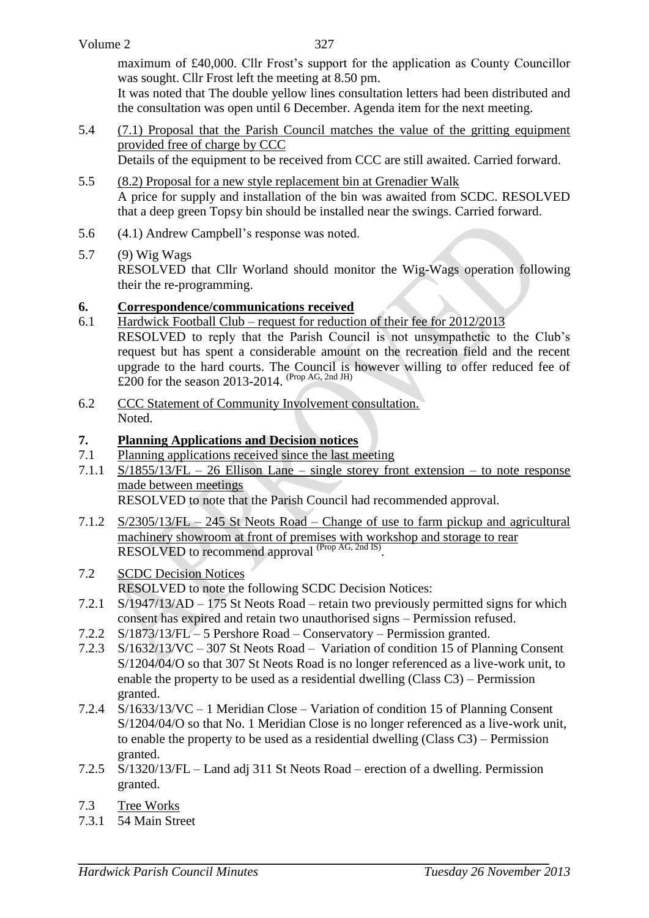maximum of £40,000. Cllr Frost's support for the application as County Councillor was sought. Cllr Frost left the meeting at 8.50 pm.

It was noted that The double yellow lines consultation letters had been distributed and the consultation was open until 6 December. Agenda item for the next meeting.

- 5.4 (7.1) Proposal that the Parish Council matches the value of the gritting equipment provided free of charge by CCC Details of the equipment to be received from CCC are still awaited. Carried forward.
- 5.5 (8.2) Proposal for a new style replacement bin at Grenadier Walk A price for supply and installation of the bin was awaited from SCDC. RESOLVED that a deep green Topsy bin should be installed near the swings. Carried forward.
- 5.6 (4.1) Andrew Campbell's response was noted.
- 5.7 (9) Wig Wags

RESOLVED that Cllr Worland should monitor the Wig-Wags operation following their the re-programming.

# **6. Correspondence/communications received**

- 6.1 Hardwick Football Club request for reduction of their fee for 2012/2013 RESOLVED to reply that the Parish Council is not unsympathetic to the Club's request but has spent a considerable amount on the recreation field and the recent upgrade to the hard courts. The Council is however willing to offer reduced fee of £200 for the season 2013-2014. (Prop AG, 2nd JH)
- 6.2 CCC Statement of Community Involvement consultation. Noted.

# **7. Planning Applications and Decision notices**

- 7.1 Planning applications received since the last meeting
- 7.1.1 S/1855/13/FL 26 Ellison Lane single storey front extension to note response made between meetings

RESOLVED to note that the Parish Council had recommended approval.

- 7.1.2 S/2305/13/FL 245 St Neots Road Change of use to farm pickup and agricultural machinery showroom at front of premises with workshop and storage to rear RESOLVED to recommend approval <sup>(Prop AG, 2nd IS)</sup>.
- 7.2 SCDC Decision Notices
	- RESOLVED to note the following SCDC Decision Notices:
- 7.2.1 S/1947/13/AD 175 St Neots Road retain two previously permitted signs for which consent has expired and retain two unauthorised signs – Permission refused.
- 7.2.2 S/1873/13/FL 5 Pershore Road Conservatory Permission granted.
- 7.2.3 S/1632/13/VC 307 St Neots Road Variation of condition 15 of Planning Consent S/1204/04/O so that 307 St Neots Road is no longer referenced as a live-work unit, to enable the property to be used as a residential dwelling (Class C3) – Permission granted.
- 7.2.4 S/1633/13/VC 1 Meridian Close Variation of condition 15 of Planning Consent S/1204/04/O so that No. 1 Meridian Close is no longer referenced as a live-work unit, to enable the property to be used as a residential dwelling (Class C3) – Permission granted.
- 7.2.5 S/1320/13/FL Land adj 311 St Neots Road erection of a dwelling. Permission granted.
- 7.3 Tree Works
- 7.3.1 54 Main Street